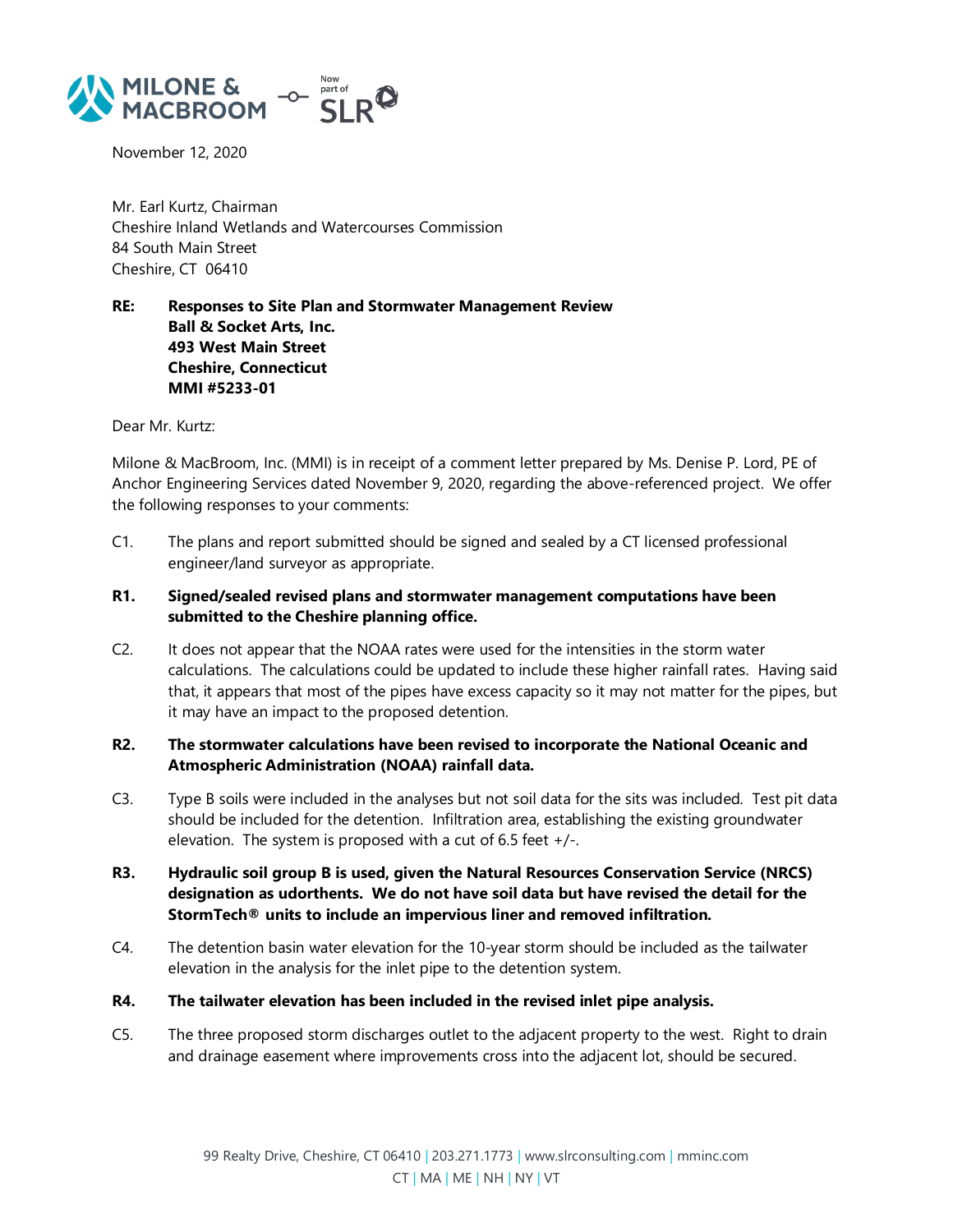

November 12, 2020

Mr. Earl Kurtz, Chairman Cheshire Inland Wetlands and Watercourses Commission 84 South Main Street Cheshire, CT 06410

**RE: Responses to Site Plan and Stormwater Management Review Ball & Socket Arts, Inc. 493 West Main Street Cheshire, Connecticut MMI #5233-01**

Dear Mr. Kurtz:

Milone & MacBroom, Inc. (MMI) is in receipt of a comment letter prepared by Ms. Denise P. Lord, PE of Anchor Engineering Services dated November 9, 2020, regarding the above-referenced project. We offer the following responses to your comments:

- C1. The plans and report submitted should be signed and sealed by a CT licensed professional engineer/land surveyor as appropriate.
- **R1. Signed/sealed revised plans and stormwater management computations have been submitted to the Cheshire planning office.**
- C2. It does not appear that the NOAA rates were used for the intensities in the storm water calculations. The calculations could be updated to include these higher rainfall rates. Having said that, it appears that most of the pipes have excess capacity so it may not matter for the pipes, but it may have an impact to the proposed detention.

## **R2. The stormwater calculations have been revised to incorporate the National Oceanic and Atmospheric Administration (NOAA) rainfall data.**

- C3. Type B soils were included in the analyses but not soil data for the sits was included. Test pit data should be included for the detention. Infiltration area, establishing the existing groundwater elevation. The system is proposed with a cut of 6.5 feet  $+/-$ .
- **R3. Hydraulic soil group B is used, given the Natural Resources Conservation Service (NRCS) designation as udorthents. We do not have soil data but have revised the detail for the StormTech® units to include an impervious liner and removed infiltration.**
- C4. The detention basin water elevation for the 10-year storm should be included as the tailwater elevation in the analysis for the inlet pipe to the detention system.
- **R4. The tailwater elevation has been included in the revised inlet pipe analysis.**
- C5. The three proposed storm discharges outlet to the adjacent property to the west. Right to drain and drainage easement where improvements cross into the adjacent lot, should be secured.